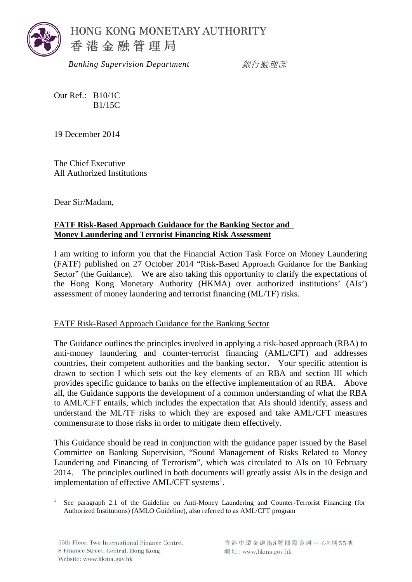

 *Banking Supervision Department* 銀行監理部

Our Ref.: B10/1C B1/15C

19 December 2014

The Chief Executive All Authorized Institutions

Dear Sir/Madam,

## **FATF Risk-Based Approach Guidance for the Banking Sector and Money Laundering and Terrorist Financing Risk Assessment**

I am writing to inform you that the Financial Action Task Force on Money Laundering (FATF) published on 27 October 2014 "Risk-Based Approach Guidance for the Banking Sector" (the Guidance). We are also taking this opportunity to clarify the expectations of the Hong Kong Monetary Authority (HKMA) over authorized institutions' (AIs') assessment of money laundering and terrorist financing (ML/TF) risks.

## FATF Risk-Based Approach Guidance for the Banking Sector

The Guidance outlines the principles involved in applying a risk-based approach (RBA) to anti-money laundering and counter-terrorist financing (AML/CFT) and addresses countries, their competent authorities and the banking sector. Your specific attention is drawn to section I which sets out the key elements of an RBA and section III which provides specific guidance to banks on the effective implementation of an RBA. Above all, the Guidance supports the development of a common understanding of what the RBA to AML/CFT entails, which includes the expectation that AIs should identify, assess and understand the ML/TF risks to which they are exposed and take AML/CFT measures commensurate to those risks in order to mitigate them effectively.

This Guidance should be read in conjunction with the guidance paper issued by the Basel Committee on Banking Supervision, "Sound Management of Risks Related to Money Laundering and Financing of Terrorism", which was circulated to AIs on 10 February 2014. The principles outlined in both documents will greatly assist AIs in the design and implementation of effective AML/CFT systems<sup>[1](#page-2-0)</sup>.

<span id="page-0-0"></span> <sup>1</sup> See paragraph 2.1 of the Guideline on Anti-Money Laundering and Counter-Terrorist Financing (for Authorized Institutions) (AMLO Guideline), also referred to as AML/CFT program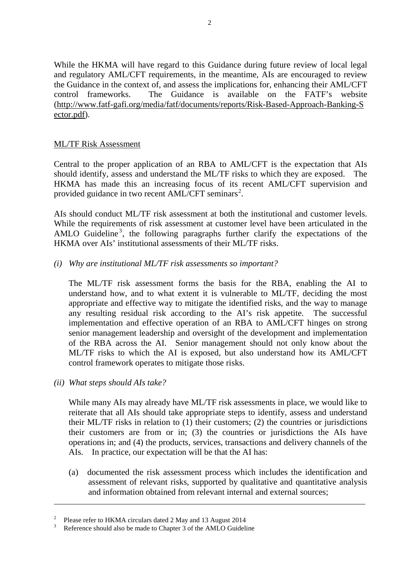While the HKMA will have regard to this Guidance during future review of local legal and regulatory AML/CFT requirements, in the meantime, AIs are encouraged to review the Guidance in the context of, and assess the implications for, enhancing their AML/CFT control frameworks. The Guidance is available on the FATF's website (http://www.fatf-gafi.org/media/fatf/documents/reports/Risk-Based-Approach-Banking-S ector.pdf).

## ML/TF Risk Assessment

Central to the proper application of an RBA to AML/CFT is the expectation that AIs should identify, assess and understand the ML/TF risks to which they are exposed. The HKMA has made this an increasing focus of its recent AML/CFT supervision and provided guidance in two recent AML/CFT seminars<sup>[2](#page-0-0)</sup>.

AIs should conduct ML/TF risk assessment at both the institutional and customer levels. While the requirements of risk assessment at customer level have been articulated in the AMLO Guideline<sup>[3](#page-1-0)</sup>, the following paragraphs further clarify the expectations of the HKMA over AIs' institutional assessments of their ML/TF risks.

*(i) Why are institutional ML/TF risk assessments so important?*

The ML/TF risk assessment forms the basis for the RBA, enabling the AI to understand how, and to what extent it is vulnerable to ML/TF, deciding the most appropriate and effective way to mitigate the identified risks, and the way to manage any resulting residual risk according to the AI's risk appetite. The successful implementation and effective operation of an RBA to AML/CFT hinges on strong senior management leadership and oversight of the development and implementation of the RBA across the AI. Senior management should not only know about the ML/TF risks to which the AI is exposed, but also understand how its AML/CFT control framework operates to mitigate those risks.

*(ii) What steps should AIs take?*

<span id="page-1-1"></span>-

While many AIs may already have ML/TF risk assessments in place, we would like to reiterate that all AIs should take appropriate steps to identify, assess and understand their ML/TF risks in relation to (1) their customers; (2) the countries or jurisdictions their customers are from or in; (3) the countries or jurisdictions the AIs have operations in; and (4) the products, services, transactions and delivery channels of the AIs. In practice, our expectation will be that the AI has:

(a) documented the risk assessment process which includes the identification and assessment of relevant risks, supported by qualitative and quantitative analysis and information obtained from relevant internal and external sources;

Please refer to HKMA circulars dated 2 May and 13 August 2014<br>Reference should also be made to Chapter 3 of the AMLO Guideline

<span id="page-1-0"></span>